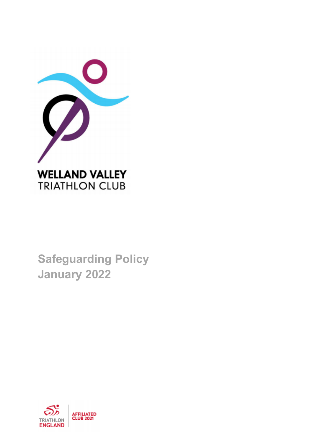

**Safeguarding Policy January 2022**

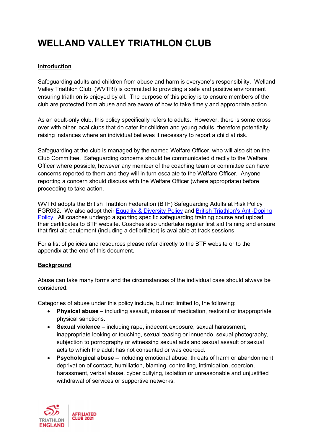# WELLAND VALLEY TRIATHLON CLUB

# **Introduction**

Safeguarding adults and children from abuse and harm is everyone's responsibility. Welland Valley Triathlon Club (WVTRI) is committed to providing a safe and positive environment ensuring triathlon is enjoyed by all. The purpose of this policy is to ensure members of the club are protected from abuse and are aware of how to take timely and appropriate action.

As an adult-only club, this policy specifically refers to adults. However, there is some cross over with other local clubs that do cater for children and young adults, therefore potentially raising instances where an individual believes it necessary to report a child at risk.

Safeguarding at the club is managed by the named Welfare Officer, who will also sit on the Club Committee. Safeguarding concerns should be communicated directly to the Welfare Officer where possible, however any member of the coaching team or committee can have concerns reported to them and they will in turn escalate to the Welfare Officer. Anyone reporting a concern should discuss with the Welfare Officer (where appropriate) before proceeding to take action.

WVTRI adopts the British Triathlon Federation (BTF) Safeguarding Adults at Risk Policy FGR032. We also adopt their Equality & Diversity Policy and British Triathlon's Anti-Doping Policy. All coaches undergo a sporting specific safeguarding training course and upload their certificates to BTF website. Coaches also undertake regular first aid training and ensure that first aid equipment (including a defibrillator) is available at track sessions.

For a list of policies and resources please refer directly to the BTF website or to the appendix at the end of this document.

## **Background**

Abuse can take many forms and the circumstances of the individual case should always be considered.

Categories of abuse under this policy include, but not limited to, the following:

- **Physical abuse** including assault, misuse of medication, restraint or inappropriate physical sanctions.
- **Sexual violence** including rape, indecent exposure, sexual harassment, inappropriate looking or touching, sexual teasing or innuendo, sexual photography, subjection to pornography or witnessing sexual acts and sexual assault or sexual acts to which the adult has not consented or was coerced.
- **Psychological abuse** including emotional abuse, threats of harm or abandonment, deprivation of contact, humiliation, blaming, controlling, intimidation, coercion, harassment, verbal abuse, cyber bullying, isolation or unreasonable and unjustified withdrawal of services or supportive networks.

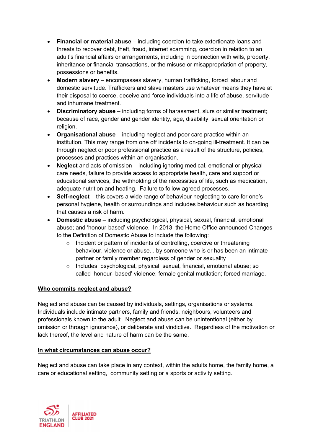- **Financial or material abuse** including coercion to take extortionate loans and threats to recover debt, theft, fraud, internet scamming, coercion in relation to an adult's financial affairs or arrangements, including in connection with wills, property, inheritance or financial transactions, or the misuse or misappropriation of property, possessions or benefits.
- **Modern slavery** encompasses slavery, human trafficking, forced labour and domestic servitude. Traffickers and slave masters use whatever means they have at their disposal to coerce, deceive and force individuals into a life of abuse, servitude and inhumane treatment.
- **Discriminatory abuse** including forms of harassment, slurs or similar treatment; because of race, gender and gender identity, age, disability, sexual orientation or religion.
- **Organisational abuse** including neglect and poor care practice within an institution. This may range from one off incidents to on-going ill-treatment. It can be through neglect or poor professional practice as a result of the structure, policies, processes and practices within an organisation.
- **Neglect** and acts of omission including ignoring medical, emotional or physical care needs, failure to provide access to appropriate health, care and support or educational services, the withholding of the necessities of life, such as medication, adequate nutrition and heating. Failure to follow agreed processes.
- **Self-neglect** this covers a wide range of behaviour neglecting to care for one's personal hygiene, health or surroundings and includes behaviour such as hoarding that causes a risk of harm.
- **Domestic abuse** including psychological, physical, sexual, financial, emotional abuse; and 'honour-based' violence. In 2013, the Home Office announced Changes to the Definition of Domestic Abuse to include the following:
	- o Incident or pattern of incidents of controlling, coercive or threatening behaviour, violence or abuse... by someone who is or has been an intimate partner or family member regardless of gender or sexuality
	- o Includes: psychological, physical, sexual, financial, emotional abuse; so called 'honour- based' violence; female genital mutilation; forced marriage.

## **Who commits neglect and abuse?**

Neglect and abuse can be caused by individuals, settings, organisations or systems. Individuals include intimate partners, family and friends, neighbours, volunteers and professionals known to the adult. Neglect and abuse can be unintentional (either by omission or through ignorance), or deliberate and vindictive. Regardless of the motivation or lack thereof, the level and nature of harm can be the same.

## **In what circumstances can abuse occur?**

Neglect and abuse can take place in any context, within the adults home, the family home, a care or educational setting, community setting or a sports or activity setting.

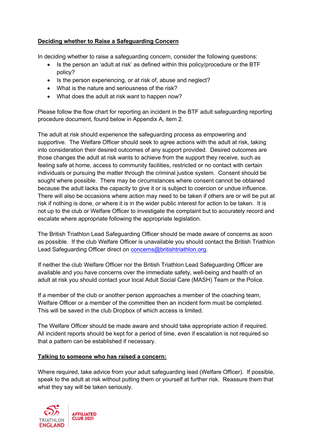# **Deciding whether to Raise a Safeguarding Concern**

In deciding whether to raise a safeguarding concern, consider the following questions:

- Is the person an 'adult at risk' as defined within this policy/procedure or the BTF policy?
- Is the person experiencing, or at risk of, abuse and neglect?
- What is the nature and seriousness of the risk?
- What does the adult at risk want to happen now?

Please follow the flow chart for reporting an incident in the BTF adult safeguarding reporting procedure document, found below in Appendix A, item 2.

The adult at risk should experience the safeguarding process as empowering and supportive. The Welfare Officer should seek to agree actions with the adult at risk, taking into consideration their desired outcomes of any support provided. Desired outcomes are those changes the adult at risk wants to achieve from the support they receive, such as feeling safe at home, access to community facilities, restricted or no contact with certain individuals or pursuing the matter through the criminal justice system. Consent should be sought where possible. There may be circumstances where consent cannot be obtained because the adult lacks the capacity to give it or is subject to coercion or undue influence. There will also be occasions where action may need to be taken if others are or will be put at risk if nothing is done, or where it is in the wider public interest for action to be taken. It is not up to the club or Welfare Officer to investigate the complaint but to accurately record and escalate where appropriate following the appropriate legislation.

The British Triathlon Lead Safeguarding Officer should be made aware of concerns as soon as possible. If the club Welfare Officer is unavailable you should contact the British Triathlon Lead Safeguarding Officer direct on concerns@britishtriathlon.org.

If neither the club Welfare Officer nor the British Triathlon Lead Safeguarding Officer are available and you have concerns over the immediate safety, well-being and health of an adult at risk you should contact your local Adult Social Care (MASH) Team or the Police.

If a member of the club or another person approaches a member of the coaching team, Welfare Officer or a member of the committee then an incident form must be completed. This will be saved in the club Dropbox of which access is limited.

The Welfare Officer should be made aware and should take appropriate action if required. All incident reports should be kept for a period of time, even if escalation is not required so that a pattern can be established if necessary.

## **Talking to someone who has raised a concern:**

Where required, take advice from your adult safeguarding lead (Welfare Officer). If possible, speak to the adult at risk without putting them or yourself at further risk. Reassure them that what they say will be taken seriously.

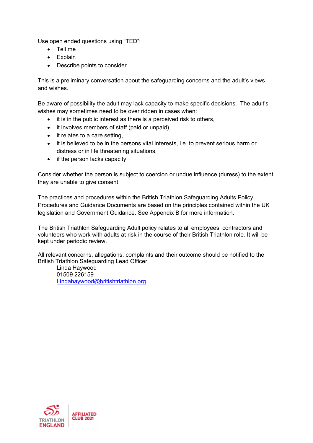Use open ended questions using "TED":

- Tell me
- Explain
- Describe points to consider

This is a preliminary conversation about the safeguarding concerns and the adult's views and wishes.

Be aware of possibility the adult may lack capacity to make specific decisions. The adult's wishes may sometimes need to be over ridden in cases when:

- it is in the public interest as there is a perceived risk to others,
- it involves members of staff (paid or unpaid),
- it relates to a care setting,
- it is believed to be in the persons vital interests, i.e. to prevent serious harm or distress or in life threatening situations,
- if the person lacks capacity.

Consider whether the person is subject to coercion or undue influence (duress) to the extent they are unable to give consent.

The practices and procedures within the British Triathlon Safeguarding Adults Policy, Procedures and Guidance Documents are based on the principles contained within the UK legislation and Government Guidance. See Appendix B for more information.

The British Triathlon Safeguarding Adult policy relates to all employees, contractors and volunteers who work with adults at risk in the course of their British Triathlon role. It will be kept under periodic review.

All relevant concerns, allegations, complaints and their outcome should be notified to the British Triathlon Safeguarding Lead Officer;

Linda Haywood 01509 226159 Lindahaywood@britishtriathlon.org

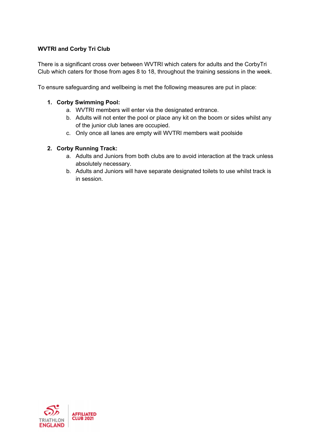## **WVTRI and Corby Tri Club**

There is a significant cross over between WVTRI which caters for adults and the CorbyTri Club which caters for those from ages 8 to 18, throughout the training sessions in the week.

To ensure safeguarding and wellbeing is met the following measures are put in place:

#### **1. Corby Swimming Pool:**

- a. WVTRI members will enter via the designated entrance.
- b. Adults will not enter the pool or place any kit on the boom or sides whilst any of the junior club lanes are occupied.
- c. Only once all lanes are empty will WVTRI members wait poolside

## **2. Corby Running Track:**

- a. Adults and Juniors from both clubs are to avoid interaction at the track unless absolutely necessary.
- b. Adults and Juniors will have separate designated toilets to use whilst track is in session.